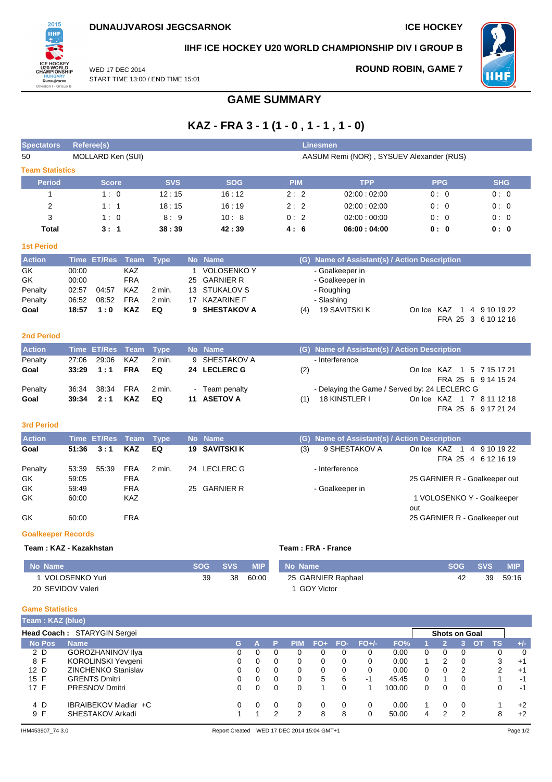**ROUND ROBIN, GAME 7**



**IIHF ICE HOCKEY U20 WORLD CHAMPIONSHIP DIV I GROUP B**



WED 17 DEC 2014 START TIME 13:00 / END TIME 15:01

### **GAME SUMMARY**

# **KAZ - FRA 3 - 1 (1 - 0 , 1 - 1 , 1 - 0)**

| <b>Spectators</b>           |             | Referee(s)                                     |                           | <b>Linesmen</b>                          |    |                                         |            |                   |          |                     |              |                    |                  |                                               |                   |                      |                     |                                                  |                        |   |
|-----------------------------|-------------|------------------------------------------------|---------------------------|------------------------------------------|----|-----------------------------------------|------------|-------------------|----------|---------------------|--------------|--------------------|------------------|-----------------------------------------------|-------------------|----------------------|---------------------|--------------------------------------------------|------------------------|---|
| 50                          |             | MOLLARD Ken (SUI)                              |                           | AASUM Remi (NOR), SYSUEV Alexander (RUS) |    |                                         |            |                   |          |                     |              |                    |                  |                                               |                   |                      |                     |                                                  |                        |   |
| <b>Team Statistics</b>      |             |                                                |                           |                                          |    |                                         |            |                   |          |                     |              |                    |                  |                                               |                   |                      |                     |                                                  |                        |   |
| <b>Period</b>               |             | <b>Score</b>                                   |                           | <b>SVS</b>                               |    |                                         | <b>SOG</b> |                   |          | <b>PIM</b>          |              |                    | <b>TPP</b>       |                                               |                   | <b>PPG</b>           |                     |                                                  | <b>SHG</b>             |   |
| 1                           |             | 1:0                                            |                           | 12:15                                    |    |                                         | 16:12      |                   |          | 2:2                 |              |                    | 02:00:02:00      |                                               |                   | 0:0                  |                     |                                                  | 0:0                    |   |
| $\overline{2}$              |             | 1:1                                            |                           | 18:15                                    |    |                                         | 16 : 19    |                   |          | 2:2                 |              |                    | 02:00:02:00      |                                               |                   | 0:0                  |                     |                                                  | 0:0                    |   |
| 3                           |             | 1:0                                            |                           | 8:9                                      |    |                                         | 10:8       |                   |          | 0:2                 |              |                    | 02:00:00:00      |                                               |                   | 0:0                  |                     |                                                  | 0:0                    |   |
| <b>Total</b>                |             | 3:1                                            |                           | 38:39                                    |    |                                         | 42:39      |                   |          | 4:6                 |              |                    | 06:00:04:00      |                                               |                   | 0: 0                 |                     |                                                  | 0: 0                   |   |
| <b>1st Period</b>           |             |                                                |                           |                                          |    |                                         |            |                   |          |                     |              |                    |                  |                                               |                   |                      |                     |                                                  |                        |   |
| <b>Action</b>               |             | Time ET/Res                                    | Team                      | <b>Type</b>                              |    | No Name                                 |            |                   |          |                     |              |                    |                  | (G) Name of Assistant(s) / Action Description |                   |                      |                     |                                                  |                        |   |
| GK                          | 00:00       |                                                | <b>KAZ</b>                |                                          | 1  | <b>VOLOSENKO Y</b>                      |            |                   |          |                     |              | - Goalkeeper in    |                  |                                               |                   |                      |                     |                                                  |                        |   |
| GK                          | 00:00       |                                                | <b>FRA</b>                |                                          | 25 | <b>GARNIER R</b>                        |            |                   |          |                     |              | - Goalkeeper in    |                  |                                               |                   |                      |                     |                                                  |                        |   |
| Penalty                     | 02:57       | 04:57                                          | KAZ                       | 2 min.                                   | 13 | <b>STUKALOV S</b>                       |            |                   |          |                     |              | - Roughing         |                  |                                               |                   |                      |                     |                                                  |                        |   |
| Penalty                     | 06:52       | 08:52                                          | <b>FRA</b><br><b>KAZ</b>  | 2 min.                                   | 17 | <b>KAZARINE F</b><br><b>SHESTAKOV A</b> |            |                   |          |                     |              | - Slashing         |                  |                                               |                   |                      |                     |                                                  |                        |   |
| Goal                        | 18:57       | 1:0                                            |                           | EQ                                       | 9  |                                         |            |                   |          | (4)                 |              | 19 SAVITSKI K      |                  |                                               |                   |                      |                     | On Ice KAZ 1 4 9 10 19 22<br>FRA 25 3 6 10 12 16 |                        |   |
|                             |             |                                                |                           |                                          |    |                                         |            |                   |          |                     |              |                    |                  |                                               |                   |                      |                     |                                                  |                        |   |
| <b>2nd Period</b>           |             |                                                |                           |                                          |    |                                         |            |                   |          |                     |              |                    |                  |                                               |                   |                      |                     |                                                  |                        |   |
| <b>Action</b>               | <b>Time</b> | <b>ET/Res</b>                                  | <b>Team</b>               | <b>Type</b>                              |    | No Name                                 |            |                   |          |                     |              |                    |                  | (G) Name of Assistant(s) / Action Description |                   |                      |                     |                                                  |                        |   |
| Penalty                     | 27:06       | 29:06                                          | KAZ                       | 2 min.                                   | 9  | SHESTAKOV A                             |            |                   |          |                     |              | - Interference     |                  |                                               |                   |                      |                     |                                                  |                        |   |
| Goal                        | 33:29       | 1:1                                            | <b>FRA</b>                | EQ                                       |    | 24 LECLERC G                            |            |                   |          | (2)                 |              |                    |                  |                                               |                   |                      |                     | On Ice KAZ 1 5 7 15 17 21<br>FRA 25 6 9 14 15 24 |                        |   |
| Penalty                     | 36:34       | 38:34                                          | <b>FRA</b>                | 2 min.                                   |    | Team penalty                            |            |                   |          |                     |              |                    |                  | - Delaying the Game / Served by: 24 LECLERC G |                   |                      |                     |                                                  |                        |   |
| Goal                        | 39:34       | 2:1                                            | <b>KAZ</b>                | EQ                                       |    | 11 ASETOV A                             |            |                   |          | (1)                 |              | 18 KINSTLER I      |                  |                                               |                   |                      |                     | On Ice KAZ 1 7 8 11 12 18                        |                        |   |
|                             |             |                                                |                           |                                          |    |                                         |            |                   |          |                     |              |                    |                  |                                               |                   |                      |                     | FRA 25 6 9 17 21 24                              |                        |   |
| 3rd Period                  |             |                                                |                           |                                          |    |                                         |            |                   |          |                     |              |                    |                  |                                               |                   |                      |                     |                                                  |                        |   |
|                             |             |                                                |                           |                                          |    |                                         |            |                   |          |                     |              |                    |                  |                                               |                   |                      |                     |                                                  |                        |   |
| <b>Action</b><br>Goal       | 51:36       | Time ET/Res<br>3:1                             | <b>Team</b><br><b>KAZ</b> | <b>Type</b><br>EQ                        | 19 | No Name<br><b>SAVITSKI K</b>            |            |                   |          | (G)<br>(3)          |              |                    | 9 SHESTAKOV A    | Name of Assistant(s) / Action Description     |                   |                      |                     | On Ice KAZ 1 4 9 10 19 22                        |                        |   |
|                             |             |                                                |                           |                                          |    |                                         |            |                   |          |                     |              |                    |                  |                                               |                   |                      |                     | FRA 25 4 6 12 16 19                              |                        |   |
| Penalty                     | 53:39       | 55:39                                          | <b>FRA</b>                | 2 min.                                   |    | 24 LECLERC G                            |            |                   |          |                     |              | - Interference     |                  |                                               |                   |                      |                     |                                                  |                        |   |
| GK                          | 59:05       |                                                | <b>FRA</b>                |                                          |    |                                         |            |                   |          |                     |              |                    |                  |                                               |                   |                      |                     | 25 GARNIER R - Goalkeeper out                    |                        |   |
| GK                          | 59:49       |                                                | <b>FRA</b>                |                                          | 25 | GARNIER R                               |            |                   |          |                     |              | - Goalkeeper in    |                  |                                               |                   |                      |                     |                                                  |                        |   |
| GK                          | 60:00       |                                                | KAZ                       |                                          |    |                                         |            |                   |          |                     |              |                    |                  |                                               |                   |                      |                     | 1 VOLOSENKO Y - Goalkeeper                       |                        |   |
| GK                          | 60:00       |                                                | <b>FRA</b>                |                                          |    |                                         |            |                   |          |                     |              |                    |                  |                                               | out               |                      |                     | 25 GARNIER R - Goalkeeper out                    |                        |   |
|                             |             |                                                |                           |                                          |    |                                         |            |                   |          |                     |              |                    |                  |                                               |                   |                      |                     |                                                  |                        |   |
| <b>Goalkeeper Records</b>   |             |                                                |                           |                                          |    |                                         |            |                   |          |                     |              |                    |                  |                                               |                   |                      |                     |                                                  |                        |   |
| Team: KAZ - Kazakhstan      |             |                                                |                           |                                          |    |                                         |            |                   |          | Team : FRA - France |              |                    |                  |                                               |                   |                      |                     |                                                  |                        |   |
| No Name                     |             |                                                |                           |                                          |    | <b>SOG</b>                              | <b>SVS</b> | <b>MIP</b>        |          | <b>No Name</b>      |              |                    |                  |                                               |                   |                      | <b>SOG</b>          | <b>SVS</b>                                       | <b>MIP</b>             |   |
| 1 VOLOSENKO Yuri            |             |                                                |                           |                                          |    | 39                                      | 38         | 60:00             |          |                     |              | 25 GARNIER Raphael |                  |                                               |                   |                      | 42                  | 39                                               | 59:16                  |   |
| 20 SEVIDOV Valeri           |             |                                                |                           |                                          |    |                                         |            |                   |          |                     | 1 GOY Victor |                    |                  |                                               |                   |                      |                     |                                                  |                        |   |
|                             |             |                                                |                           |                                          |    |                                         |            |                   |          |                     |              |                    |                  |                                               |                   |                      |                     |                                                  |                        |   |
| <b>Game Statistics</b>      |             |                                                |                           |                                          |    |                                         |            |                   |          |                     |              |                    |                  |                                               |                   |                      |                     |                                                  |                        |   |
| Team: KAZ (blue)            |             |                                                |                           |                                          |    |                                         |            |                   |          |                     |              |                    |                  |                                               |                   |                      |                     |                                                  |                        |   |
| Head Coach: STARYGIN Sergei |             |                                                |                           |                                          |    |                                         |            |                   |          |                     |              |                    |                  |                                               |                   | <b>Shots on Goal</b> |                     |                                                  |                        |   |
| <b>No Pos</b>               | <b>Name</b> |                                                |                           |                                          |    |                                         | G          | A                 | P        | <b>PIM</b>          | $FO+$        | FO-                | $FO+/-$          | FO%                                           | 1                 | $\overline{2}$       | 3 <sup>1</sup>      | <b>TS</b><br><b>OT</b>                           | $+/-$                  |   |
| 2D<br>8 F                   |             | <b>GOROZHANINOV IIva</b><br>KOROLINSKI Yevgeni |                           |                                          |    |                                         | 0<br>0     | 0<br>0            | 0<br>0   | 0<br>0              | 0<br>0       | 0<br>0             | 0<br>0           | 0.00<br>0.00                                  | 0<br>$\mathbf{1}$ | 0<br>2               | 0<br>0              |                                                  | 0<br>3<br>$+1$         | 0 |
| 12 D                        |             | <b>ZINCHENKO Stanislav</b>                     |                           |                                          |    |                                         | 0          | 0                 | 0        | 0                   | 0            | $\mathbf 0$        | 0                | 0.00                                          | 0                 | 0                    | 2                   |                                                  | $\overline{2}$<br>$+1$ |   |
| 15 F                        |             | <b>GRENTS Dmitri</b>                           |                           |                                          |    |                                         | 0          | 0                 | 0        | 0                   | 5            | 6                  | $-1$             | 45.45                                         | 0                 | 1                    | 0                   |                                                  | $\mathbf{1}$<br>$-1$   |   |
| 17 F                        |             | <b>PRESNOV Dmitri</b>                          |                           |                                          |    |                                         | $\Omega$   | $\Omega$          | $\Omega$ | $\Omega$            | $\mathbf{1}$ | $\Omega$           | 1                | 100.00                                        | 0                 | 0                    | 0                   |                                                  | 0<br>$-1$              |   |
| 4 D<br>9 F                  |             | IBRAIBEKOV Madiar +C<br>SHESTAKOV Arkadi       |                           |                                          |    |                                         | 0          | 0<br>$\mathbf{1}$ | 0<br>2   | 0<br>$\overline{2}$ | 0<br>8       | 0<br>8             | 0<br>$\mathbf 0$ | 0.00<br>50.00                                 | $\mathbf 1$<br>4  | 0<br>$\overline{2}$  | 0<br>$\overline{2}$ |                                                  | 1<br>$+2$<br>8<br>$+2$ |   |